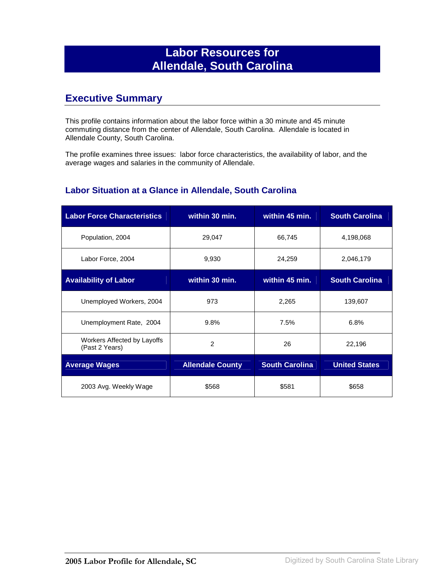## **Labor Resources for Allendale, South Carolina**

## **Executive Summary**

This profile contains information about the labor force within a 30 minute and 45 minute commuting distance from the center of Allendale, South Carolina. Allendale is located in Allendale County, South Carolina.

The profile examines three issues: labor force characteristics, the availability of labor, and the average wages and salaries in the community of Allendale.

#### **Labor Situation at a Glance in Allendale, South Carolina**

| <b>Labor Force Characteristics</b>            | within 30 min.          | within 45 min.        | <b>South Carolina</b> |
|-----------------------------------------------|-------------------------|-----------------------|-----------------------|
| Population, 2004                              | 29,047                  | 66,745                | 4,198,068             |
| Labor Force, 2004                             | 9,930                   | 24,259                | 2,046,179             |
| <b>Availability of Labor</b>                  | within 30 min.          | within 45 min.        | <b>South Carolina</b> |
| Unemployed Workers, 2004                      | 973                     | 2,265                 | 139,607               |
| Unemployment Rate, 2004                       | 9.8%                    | 7.5%                  | 6.8%                  |
| Workers Affected by Layoffs<br>(Past 2 Years) | 2                       | 26                    | 22,196                |
| <b>Average Wages</b>                          | <b>Allendale County</b> | <b>South Carolina</b> | <b>United States</b>  |
| 2003 Avg. Weekly Wage                         | \$568                   | \$581                 | \$658                 |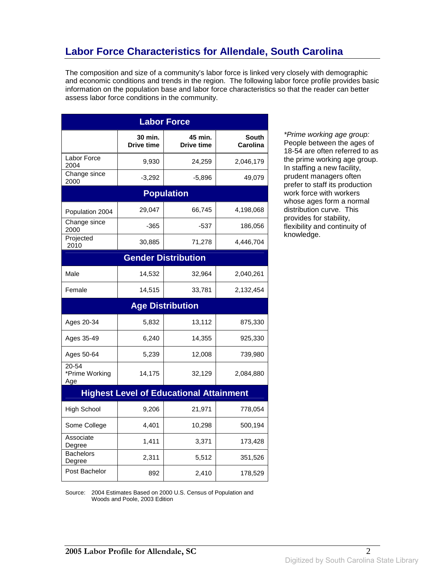# **Labor Force Characteristics for Allendale, South Carolina**

The composition and size of a community's labor force is linked very closely with demographic and economic conditions and trends in the region. The following labor force profile provides basic information on the population base and labor force characteristics so that the reader can better assess labor force conditions in the community.

| <b>Labor Force</b>             |                              |                                                |                                 |
|--------------------------------|------------------------------|------------------------------------------------|---------------------------------|
|                                | 30 min.<br><b>Drive time</b> | 45 min.<br><b>Drive time</b>                   | <b>South</b><br><b>Carolina</b> |
| Labor Force<br>2004            | 9,930                        | 24,259                                         | 2,046,179                       |
| Change since<br>2000           | $-3,292$                     | $-5,896$                                       | 49,079                          |
|                                |                              | <b>Population</b>                              |                                 |
| Population 2004                | 29,047                       | 66,745                                         | 4,198,068                       |
| Change since<br>2000           | -365                         | -537                                           | 186,056                         |
| Projected<br>2010              | 30,885                       | 71,278                                         | 4,446,704                       |
|                                |                              | <b>Gender Distribution</b>                     |                                 |
| Male                           | 14,532                       | 32,964                                         | 2,040,261                       |
| Female                         | 14,515                       | 33,781                                         | 2,132,454                       |
|                                |                              | <b>Age Distribution</b>                        |                                 |
| Ages 20-34                     | 5,832                        | 13,112                                         | 875,330                         |
| Ages 35-49                     | 6,240                        | 14,355                                         | 925,330                         |
| Ages 50-64                     | 5,239                        | 12,008                                         | 739,980                         |
| 20-54<br>*Prime Working<br>Age | 14,175                       | 32,129                                         | 2,084,880                       |
|                                |                              | <b>Highest Level of Educational Attainment</b> |                                 |
| <b>High School</b>             | 9,206                        | 21,971                                         | 778,054                         |
| Some College                   | 4,401                        | 10,298                                         | 500,194                         |
| Associate<br>Degree            | 1,411                        | 3,371                                          | 173,428                         |
| Bachelors<br>Degree            | 2,311                        | 5,512                                          | 351,526                         |
| Post Bachelor                  | 892                          | 2,410                                          | 178,529                         |

\*Prime working age group: People between the ages of 18-54 are often referred to as the prime working age group. In staffing a new facility, prudent managers often prefer to staff its production work force with workers whose ages form a normal distribution curve. This provides for stability, flexibility and continuity of knowledge.

Source: 2004 Estimates Based on 2000 U.S. Census of Population and Woods and Poole, 2003 Edition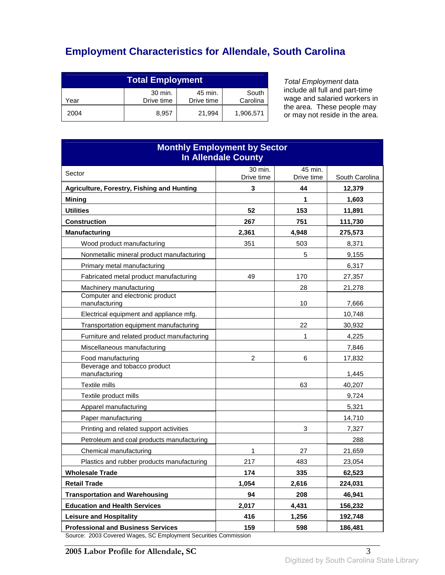# **Employment Characteristics for Allendale, South Carolina**

| <b>Total Employment</b>                                                     |       |        |           |
|-----------------------------------------------------------------------------|-------|--------|-----------|
| 30 min.<br>45 min.<br>South<br>Drive time<br>Carolina<br>Drive time<br>Year |       |        |           |
| 2004                                                                        | 8.957 | 21.994 | 1,906,571 |

Total Employment data include all full and part-time wage and salaried workers in the area. These people may or may not reside in the area.

| <b>Monthly Employment by Sector</b><br><b>In Allendale County</b>                 |                       |                       |                |
|-----------------------------------------------------------------------------------|-----------------------|-----------------------|----------------|
| Sector                                                                            | 30 min.<br>Drive time | 45 min.<br>Drive time | South Carolina |
| Agriculture, Forestry, Fishing and Hunting                                        | 3                     | 44                    | 12,379         |
| <b>Mining</b>                                                                     |                       | 1                     | 1,603          |
| <b>Utilities</b>                                                                  | 52                    | 153                   | 11,891         |
| <b>Construction</b>                                                               | 267                   | 751                   | 111,730        |
| <b>Manufacturing</b>                                                              | 2,361                 | 4.948                 | 275,573        |
| Wood product manufacturing                                                        | 351                   | 503                   | 8,371          |
| Nonmetallic mineral product manufacturing                                         |                       | 5                     | 9,155          |
| Primary metal manufacturing                                                       |                       |                       | 6,317          |
| Fabricated metal product manufacturing                                            | 49                    | 170                   | 27,357         |
| Machinery manufacturing                                                           |                       | 28                    | 21,278         |
| Computer and electronic product<br>manufacturing                                  |                       | 10                    | 7,666          |
| Electrical equipment and appliance mfg.                                           |                       |                       | 10,748         |
| Transportation equipment manufacturing                                            |                       | 22                    | 30,932         |
| Furniture and related product manufacturing                                       |                       | 1                     | 4,225          |
| Miscellaneous manufacturing                                                       |                       |                       | 7,846          |
| Food manufacturing                                                                | $\overline{2}$        | 6                     | 17,832         |
| Beverage and tobacco product<br>manufacturing                                     |                       |                       | 1,445          |
| Textile mills                                                                     |                       | 63                    | 40,207         |
| Textile product mills                                                             |                       |                       | 9,724          |
| Apparel manufacturing                                                             |                       |                       | 5,321          |
| Paper manufacturing                                                               |                       |                       | 14,710         |
| Printing and related support activities                                           |                       | 3                     | 7,327          |
| Petroleum and coal products manufacturing                                         |                       |                       | 288            |
| Chemical manufacturing                                                            | 1                     | 27                    | 21,659         |
| Plastics and rubber products manufacturing                                        | 217                   | 483                   | 23,054         |
| <b>Wholesale Trade</b>                                                            | 174                   | 335                   | 62,523         |
| <b>Retail Trade</b>                                                               | 1,054                 | 2,616                 | 224,031        |
| <b>Transportation and Warehousing</b>                                             | 94                    | 208                   | 46,941         |
| <b>Education and Health Services</b>                                              | 2,017                 | 4,431                 | 156,232        |
| <b>Leisure and Hospitality</b>                                                    | 416                   | 1,256                 | 192,748        |
| <b>Professional and Business Services</b><br>2002 Covered Wesse CC Employment Cas | 159                   | 598                   | 186,481        |

Source: 2003 Covered Wages, SC Employment Securities Commission

**2005 Labor Profile for Allendale, SC** 3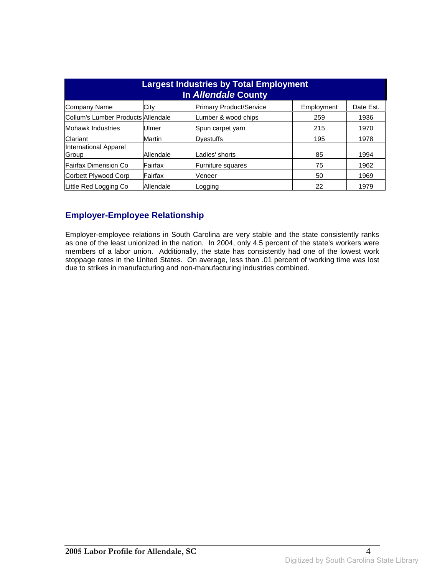| <b>Largest Industries by Total Employment</b><br>In Allendale County |           |                                |            |           |
|----------------------------------------------------------------------|-----------|--------------------------------|------------|-----------|
| Company Name                                                         | City      | <b>Primary Product/Service</b> | Employment | Date Est. |
| Collum's Lumber Products Allendale                                   |           | Lumber & wood chips            | 259        | 1936      |
| <b>Mohawk Industries</b>                                             | Ulmer     | Spun carpet yarn               | 215        | 1970      |
| Clariant                                                             | Martin    | Dvestuffs                      | 195        | 1978      |
| International Apparel<br>Group                                       | Allendale | Ladies' shorts                 | 85         | 1994      |
| Fairfax Dimension Co                                                 | Fairfax   | Furniture squares              | 75         | 1962      |
| Corbett Plywood Corp                                                 | Fairfax   | Veneer                         | 50         | 1969      |
| Little Red Logging Co                                                | Allendale | Logging                        | 22         | 1979      |

### **Employer-Employee Relationship**

Employer-employee relations in South Carolina are very stable and the state consistently ranks as one of the least unionized in the nation. In 2004, only 4.5 percent of the state's workers were members of a labor union. Additionally, the state has consistently had one of the lowest work stoppage rates in the United States. On average, less than .01 percent of working time was lost due to strikes in manufacturing and non-manufacturing industries combined.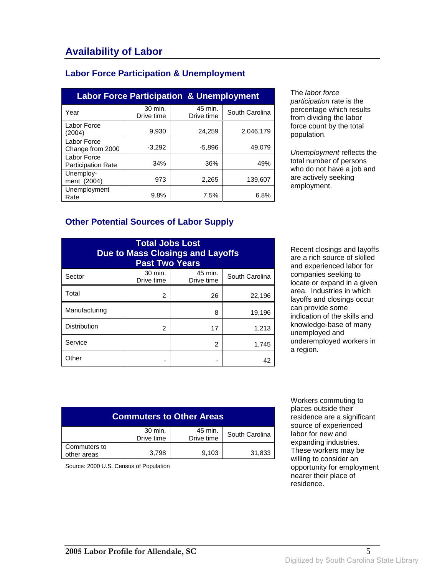#### **Labor Force Participation & Unemployment**

| <b>Labor Force Participation &amp; Unemployment</b> |                       |                       |                |  |
|-----------------------------------------------------|-----------------------|-----------------------|----------------|--|
| Year                                                | 30 min.<br>Drive time | 45 min.<br>Drive time | South Carolina |  |
| Labor Force<br>(2004)                               | 9,930                 | 24.259                | 2,046,179      |  |
| Labor Force<br>Change from 2000                     | $-3,292$              | $-5.896$              | 49.079         |  |
| Labor Force<br><b>Participation Rate</b>            | 34%                   | 36%                   | 49%            |  |
| Unemploy-<br>ment (2004)                            | 973                   | 2,265                 | 139,607        |  |
| Unemployment<br>Rate                                | 9.8%                  | 7.5%                  | 6.8%           |  |

The labor force participation rate is the percentage which results from dividing the labor force count by the total population.

Unemployment reflects the total number of persons who do not have a job and are actively seeking employment.

#### **Other Potential Sources of Labor Supply**

| <b>Total Jobs Lost</b><br><b>Due to Mass Closings and Layoffs</b><br><b>Past Two Years</b> |                       |                       |                |
|--------------------------------------------------------------------------------------------|-----------------------|-----------------------|----------------|
| Sector                                                                                     | 30 min.<br>Drive time | 45 min.<br>Drive time | South Carolina |
| Total                                                                                      | 2                     | 26                    | 22,196         |
| Manufacturing                                                                              |                       | 8                     | 19,196         |
| <b>Distribution</b>                                                                        | 2                     | 17                    | 1,213          |
| Service                                                                                    |                       | 2                     | 1,745          |
| Other                                                                                      |                       |                       | 42             |

Recent closings and layoffs are a rich source of skilled and experienced labor for companies seeking to locate or expand in a given area. Industries in which layoffs and closings occur can provide some indication of the skills and knowledge-base of many unemployed and underemployed workers in a region.

| <b>Commuters to Other Areas</b> |                       |                       |                |
|---------------------------------|-----------------------|-----------------------|----------------|
|                                 | 30 min.<br>Drive time | 45 min.<br>Drive time | South Carolina |
| Commuters to<br>other areas     | 3.798                 | 9,103                 | 31,833         |

Source: 2000 U.S. Census of Population

 Workers commuting to places outside their residence are a significant source of experienced labor for new and expanding industries. These workers may be willing to consider an opportunity for employment nearer their place of residence.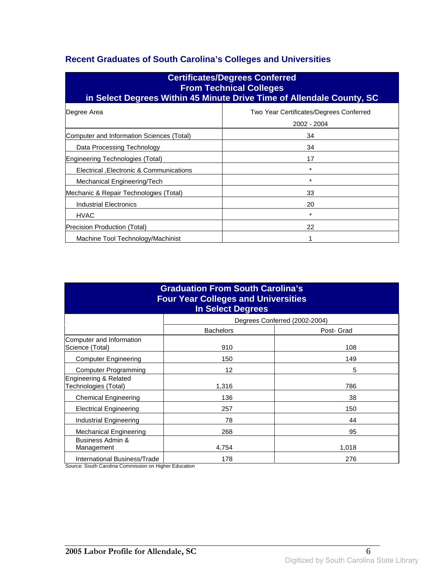### **Recent Graduates of South Carolina's Colleges and Universities**

| <b>Certificates/Degrees Conferred</b><br><b>From Technical Colleges</b><br>in Select Degrees Within 45 Minute Drive Time of Allendale County, SC |                                                        |  |  |  |
|--------------------------------------------------------------------------------------------------------------------------------------------------|--------------------------------------------------------|--|--|--|
| Degree Area                                                                                                                                      | Two Year Certificates/Degrees Conferred<br>2002 - 2004 |  |  |  |
| Computer and Information Sciences (Total)                                                                                                        | 34                                                     |  |  |  |
| Data Processing Technology                                                                                                                       | 34                                                     |  |  |  |
| Engineering Technologies (Total)                                                                                                                 | 17                                                     |  |  |  |
| Electrical , Electronic & Communications                                                                                                         | $\star$                                                |  |  |  |
| Mechanical Engineering/Tech                                                                                                                      | $^\star$                                               |  |  |  |
| Mechanic & Repair Technologies (Total)                                                                                                           | 33                                                     |  |  |  |
| <b>Industrial Electronics</b>                                                                                                                    | 20                                                     |  |  |  |
| <b>HVAC</b>                                                                                                                                      | $\star$                                                |  |  |  |
| Precision Production (Total)<br>22                                                                                                               |                                                        |  |  |  |
| Machine Tool Technology/Machinist                                                                                                                |                                                        |  |  |  |

| <b>Graduation From South Carolina's</b><br><b>Four Year Colleges and Universities</b><br><b>In Select Degrees</b> |                  |                               |  |
|-------------------------------------------------------------------------------------------------------------------|------------------|-------------------------------|--|
|                                                                                                                   |                  | Degrees Conferred (2002-2004) |  |
|                                                                                                                   | <b>Bachelors</b> | Post- Grad                    |  |
| Computer and Information<br>Science (Total)                                                                       | 910              | 108                           |  |
| <b>Computer Engineering</b>                                                                                       | 150              | 149                           |  |
| Computer Programming                                                                                              | 12               | 5                             |  |
| Engineering & Related<br>Technologies (Total)                                                                     | 1,316            | 786                           |  |
| <b>Chemical Engineering</b>                                                                                       | 136              | 38                            |  |
| <b>Electrical Engineering</b>                                                                                     | 257              | 150                           |  |
| Industrial Engineering                                                                                            | 78               | 44                            |  |
| Mechanical Engineering                                                                                            | 268              | 95                            |  |
| Business Admin &<br>Management                                                                                    | 4,754            | 1,018                         |  |
| International Business/Trade                                                                                      | 178              | 276                           |  |

Source: South Carolina Commission on Higher Education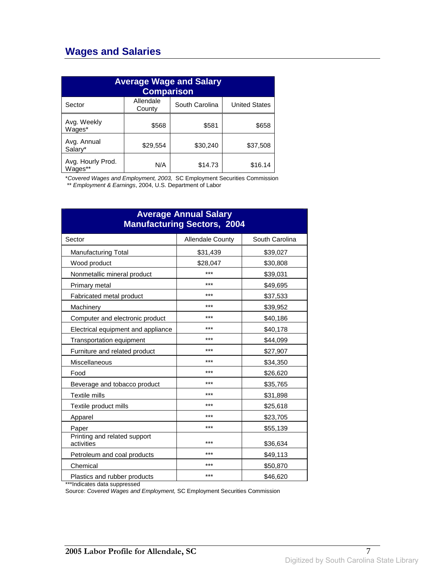## **Wages and Salaries**

| <b>Average Wage and Salary</b><br><b>Comparison</b> |                     |                |                      |
|-----------------------------------------------------|---------------------|----------------|----------------------|
| Sector                                              | Allendale<br>County | South Carolina | <b>United States</b> |
| Avg. Weekly<br>Wages*                               | \$568               | \$581          | \$658                |
| Avg. Annual<br>Salary*                              | \$29,554            | \$30,240       | \$37,508             |
| Avg. Hourly Prod.<br>Wages**                        | N/A                 | \$14.73        | \$16.14              |

\*Covered Wages and Employment, 2003, SC Employment Securities Commission

\*\* Employment & Earnings, 2004, U.S. Department of Labor

| <b>Average Annual Salary</b><br><b>Manufacturing Sectors, 2004</b> |                         |                |  |
|--------------------------------------------------------------------|-------------------------|----------------|--|
| Sector                                                             | <b>Allendale County</b> | South Carolina |  |
| <b>Manufacturing Total</b>                                         | \$31,439                | \$39,027       |  |
| Wood product                                                       | \$28,047                | \$30,808       |  |
| Nonmetallic mineral product                                        | ***                     | \$39,031       |  |
| Primary metal                                                      | ***                     | \$49,695       |  |
| Fabricated metal product                                           | ***                     | \$37,533       |  |
| Machinery                                                          | ***                     | \$39,952       |  |
| Computer and electronic product                                    | ***                     | \$40,186       |  |
| Electrical equipment and appliance                                 | ***                     | \$40,178       |  |
| <b>Transportation equipment</b>                                    | ***                     | \$44,099       |  |
| Furniture and related product                                      | ***                     | \$27,907       |  |
| Miscellaneous                                                      | ***                     | \$34,350       |  |
| Food                                                               | ***                     | \$26,620       |  |
| Beverage and tobacco product                                       | ***                     | \$35,765       |  |
| <b>Textile mills</b>                                               | ***                     | \$31,898       |  |
| Textile product mills                                              | ***                     | \$25,618       |  |
| Apparel                                                            | ***                     | \$23,705       |  |
| Paper                                                              | ***                     | \$55,139       |  |
| Printing and related support<br>activities                         | ***                     | \$36,634       |  |
| Petroleum and coal products                                        | ***                     | \$49,113       |  |
| Chemical                                                           | ***                     | \$50,870       |  |
| Plastics and rubber products                                       | ***                     | \$46,620       |  |

\*\*\*Indicates data suppressed

Source: Covered Wages and Employment, SC Employment Securities Commission